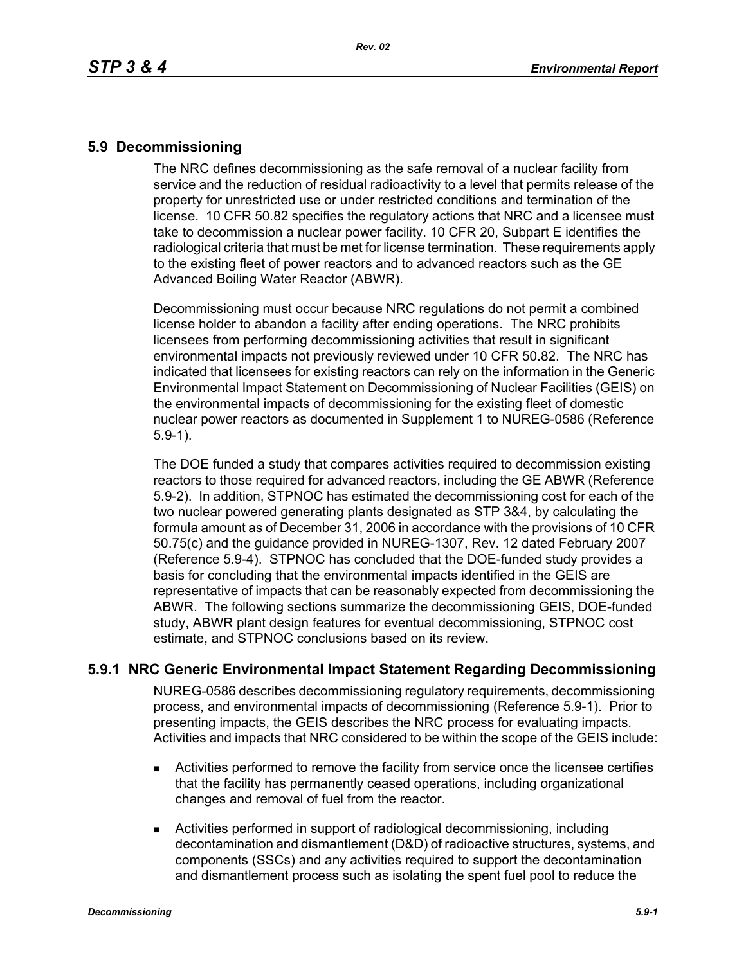### **5.9 Decommissioning**

The NRC defines decommissioning as the safe removal of a nuclear facility from service and the reduction of residual radioactivity to a level that permits release of the property for unrestricted use or under restricted conditions and termination of the license. 10 CFR 50.82 specifies the regulatory actions that NRC and a licensee must take to decommission a nuclear power facility. 10 CFR 20, Subpart E identifies the radiological criteria that must be met for license termination. These requirements apply to the existing fleet of power reactors and to advanced reactors such as the GE Advanced Boiling Water Reactor (ABWR).

Decommissioning must occur because NRC regulations do not permit a combined license holder to abandon a facility after ending operations. The NRC prohibits licensees from performing decommissioning activities that result in significant environmental impacts not previously reviewed under 10 CFR 50.82. The NRC has indicated that licensees for existing reactors can rely on the information in the Generic Environmental Impact Statement on Decommissioning of Nuclear Facilities (GEIS) on the environmental impacts of decommissioning for the existing fleet of domestic nuclear power reactors as documented in Supplement 1 to NUREG-0586 (Reference 5.9-1).

The DOE funded a study that compares activities required to decommission existing reactors to those required for advanced reactors, including the GE ABWR (Reference 5.9-2). In addition, STPNOC has estimated the decommissioning cost for each of the two nuclear powered generating plants designated as STP 3&4, by calculating the formula amount as of December 31, 2006 in accordance with the provisions of 10 CFR 50.75(c) and the guidance provided in NUREG-1307, Rev. 12 dated February 2007 (Reference 5.9-4). STPNOC has concluded that the DOE-funded study provides a basis for concluding that the environmental impacts identified in the GEIS are representative of impacts that can be reasonably expected from decommissioning the ABWR. The following sections summarize the decommissioning GEIS, DOE-funded study, ABWR plant design features for eventual decommissioning, STPNOC cost estimate, and STPNOC conclusions based on its review.

## **5.9.1 NRC Generic Environmental Impact Statement Regarding Decommissioning**

NUREG-0586 describes decommissioning regulatory requirements, decommissioning process, and environmental impacts of decommissioning (Reference 5.9-1). Prior to presenting impacts, the GEIS describes the NRC process for evaluating impacts. Activities and impacts that NRC considered to be within the scope of the GEIS include:

- Activities performed to remove the facility from service once the licensee certifies that the facility has permanently ceased operations, including organizational changes and removal of fuel from the reactor.
- Activities performed in support of radiological decommissioning, including decontamination and dismantlement (D&D) of radioactive structures, systems, and components (SSCs) and any activities required to support the decontamination and dismantlement process such as isolating the spent fuel pool to reduce the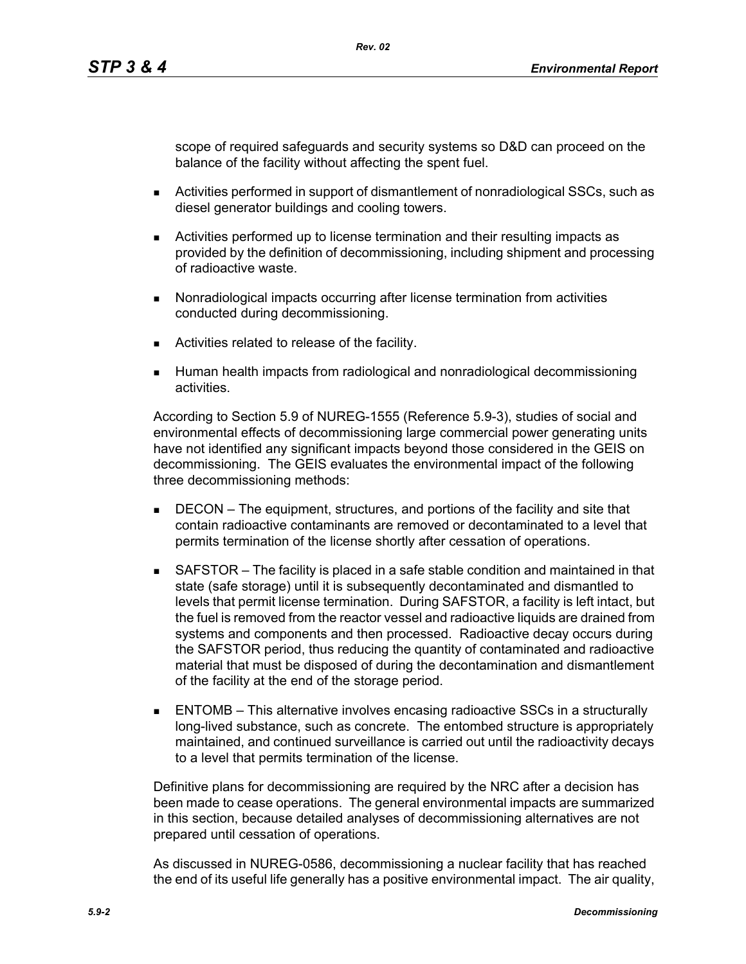scope of required safeguards and security systems so D&D can proceed on the balance of the facility without affecting the spent fuel.

- Activities performed in support of dismantlement of nonradiological SSCs, such as diesel generator buildings and cooling towers.
- Activities performed up to license termination and their resulting impacts as provided by the definition of decommissioning, including shipment and processing of radioactive waste.
- **Nonradiological impacts occurring after license termination from activities** conducted during decommissioning.
- **EXEC** Activities related to release of the facility.
- Human health impacts from radiological and nonradiological decommissioning activities.

According to Section 5.9 of NUREG-1555 (Reference 5.9-3), studies of social and environmental effects of decommissioning large commercial power generating units have not identified any significant impacts beyond those considered in the GEIS on decommissioning. The GEIS evaluates the environmental impact of the following three decommissioning methods:

- **DECON** The equipment, structures, and portions of the facility and site that contain radioactive contaminants are removed or decontaminated to a level that permits termination of the license shortly after cessation of operations.
- SAFSTOR The facility is placed in a safe stable condition and maintained in that state (safe storage) until it is subsequently decontaminated and dismantled to levels that permit license termination. During SAFSTOR, a facility is left intact, but the fuel is removed from the reactor vessel and radioactive liquids are drained from systems and components and then processed. Radioactive decay occurs during the SAFSTOR period, thus reducing the quantity of contaminated and radioactive material that must be disposed of during the decontamination and dismantlement of the facility at the end of the storage period.
- ENTOMB This alternative involves encasing radioactive SSCs in a structurally long-lived substance, such as concrete. The entombed structure is appropriately maintained, and continued surveillance is carried out until the radioactivity decays to a level that permits termination of the license.

Definitive plans for decommissioning are required by the NRC after a decision has been made to cease operations. The general environmental impacts are summarized in this section, because detailed analyses of decommissioning alternatives are not prepared until cessation of operations.

As discussed in NUREG-0586, decommissioning a nuclear facility that has reached the end of its useful life generally has a positive environmental impact. The air quality,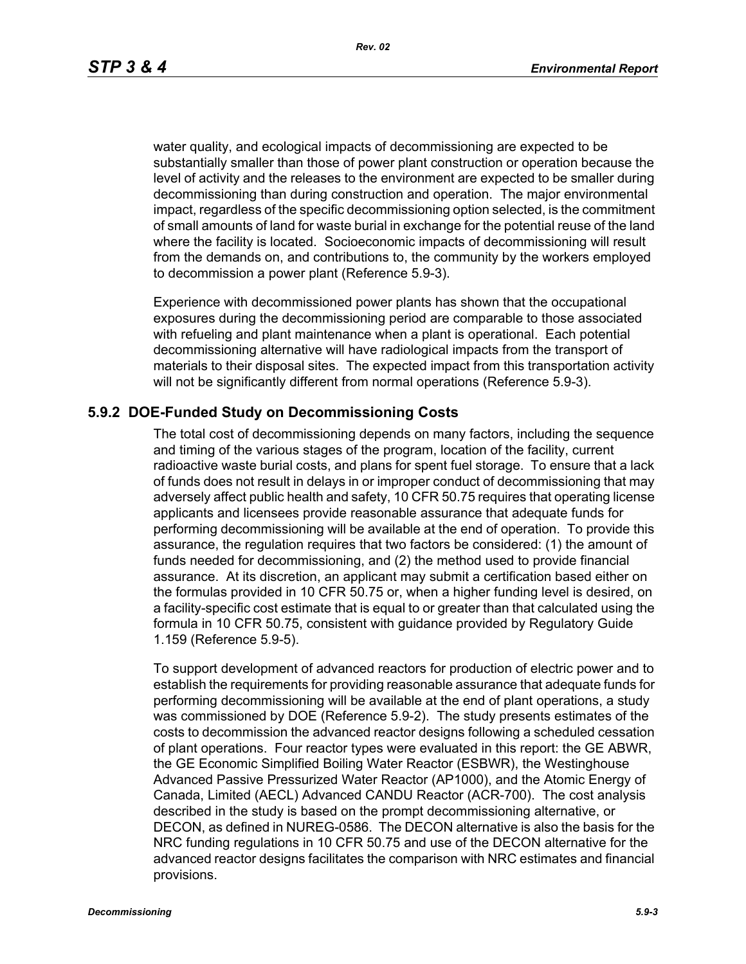*Rev. 02*

water quality, and ecological impacts of decommissioning are expected to be substantially smaller than those of power plant construction or operation because the level of activity and the releases to the environment are expected to be smaller during decommissioning than during construction and operation. The major environmental impact, regardless of the specific decommissioning option selected, is the commitment of small amounts of land for waste burial in exchange for the potential reuse of the land where the facility is located. Socioeconomic impacts of decommissioning will result from the demands on, and contributions to, the community by the workers employed to decommission a power plant (Reference 5.9-3).

Experience with decommissioned power plants has shown that the occupational exposures during the decommissioning period are comparable to those associated with refueling and plant maintenance when a plant is operational. Each potential decommissioning alternative will have radiological impacts from the transport of materials to their disposal sites. The expected impact from this transportation activity will not be significantly different from normal operations (Reference 5.9-3).

# **5.9.2 DOE-Funded Study on Decommissioning Costs**

The total cost of decommissioning depends on many factors, including the sequence and timing of the various stages of the program, location of the facility, current radioactive waste burial costs, and plans for spent fuel storage. To ensure that a lack of funds does not result in delays in or improper conduct of decommissioning that may adversely affect public health and safety, 10 CFR 50.75 requires that operating license applicants and licensees provide reasonable assurance that adequate funds for performing decommissioning will be available at the end of operation. To provide this assurance, the regulation requires that two factors be considered: (1) the amount of funds needed for decommissioning, and (2) the method used to provide financial assurance. At its discretion, an applicant may submit a certification based either on the formulas provided in 10 CFR 50.75 or, when a higher funding level is desired, on a facility-specific cost estimate that is equal to or greater than that calculated using the formula in 10 CFR 50.75, consistent with guidance provided by Regulatory Guide 1.159 (Reference 5.9-5).

To support development of advanced reactors for production of electric power and to establish the requirements for providing reasonable assurance that adequate funds for performing decommissioning will be available at the end of plant operations, a study was commissioned by DOE (Reference 5.9-2). The study presents estimates of the costs to decommission the advanced reactor designs following a scheduled cessation of plant operations. Four reactor types were evaluated in this report: the GE ABWR, the GE Economic Simplified Boiling Water Reactor (ESBWR), the Westinghouse Advanced Passive Pressurized Water Reactor (AP1000), and the Atomic Energy of Canada, Limited (AECL) Advanced CANDU Reactor (ACR-700). The cost analysis described in the study is based on the prompt decommissioning alternative, or DECON, as defined in NUREG-0586. The DECON alternative is also the basis for the NRC funding regulations in 10 CFR 50.75 and use of the DECON alternative for the advanced reactor designs facilitates the comparison with NRC estimates and financial provisions.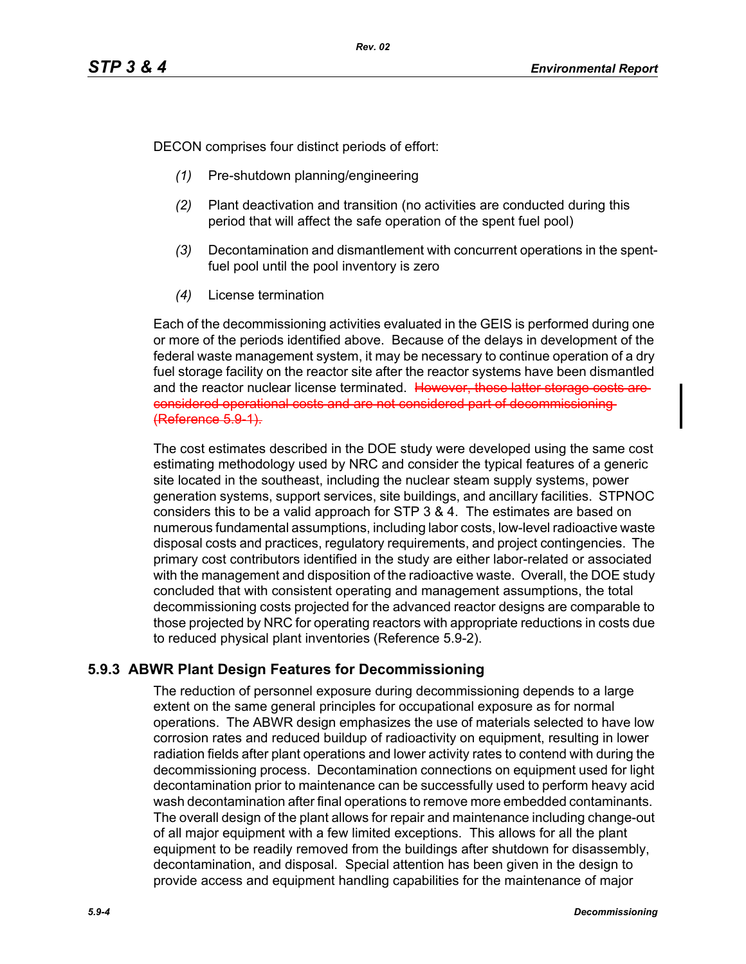DECON comprises four distinct periods of effort:

- *(1)* Pre-shutdown planning/engineering
- *(2)* Plant deactivation and transition (no activities are conducted during this period that will affect the safe operation of the spent fuel pool)
- *(3)* Decontamination and dismantlement with concurrent operations in the spentfuel pool until the pool inventory is zero
- *(4)* License termination

Each of the decommissioning activities evaluated in the GEIS is performed during one or more of the periods identified above. Because of the delays in development of the federal waste management system, it may be necessary to continue operation of a dry fuel storage facility on the reactor site after the reactor systems have been dismantled and the reactor nuclear license terminated. However, these latter storage costs areconsidered operational costs and are not considered part of decommissioning (Reference 5.9-1).

The cost estimates described in the DOE study were developed using the same cost estimating methodology used by NRC and consider the typical features of a generic site located in the southeast, including the nuclear steam supply systems, power generation systems, support services, site buildings, and ancillary facilities. STPNOC considers this to be a valid approach for STP 3 & 4. The estimates are based on numerous fundamental assumptions, including labor costs, low-level radioactive waste disposal costs and practices, regulatory requirements, and project contingencies. The primary cost contributors identified in the study are either labor-related or associated with the management and disposition of the radioactive waste. Overall, the DOE study concluded that with consistent operating and management assumptions, the total decommissioning costs projected for the advanced reactor designs are comparable to those projected by NRC for operating reactors with appropriate reductions in costs due to reduced physical plant inventories (Reference 5.9-2).

# **5.9.3 ABWR Plant Design Features for Decommissioning**

The reduction of personnel exposure during decommissioning depends to a large extent on the same general principles for occupational exposure as for normal operations. The ABWR design emphasizes the use of materials selected to have low corrosion rates and reduced buildup of radioactivity on equipment, resulting in lower radiation fields after plant operations and lower activity rates to contend with during the decommissioning process. Decontamination connections on equipment used for light decontamination prior to maintenance can be successfully used to perform heavy acid wash decontamination after final operations to remove more embedded contaminants. The overall design of the plant allows for repair and maintenance including change-out of all major equipment with a few limited exceptions. This allows for all the plant equipment to be readily removed from the buildings after shutdown for disassembly, decontamination, and disposal. Special attention has been given in the design to provide access and equipment handling capabilities for the maintenance of major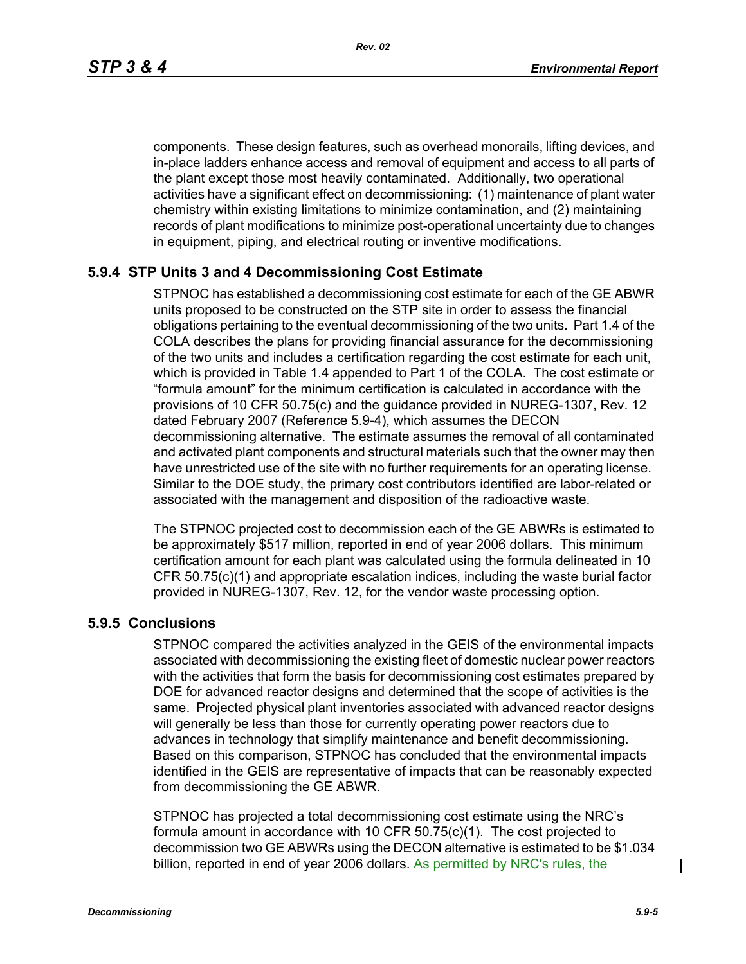*Rev. 02*

components. These design features, such as overhead monorails, lifting devices, and in-place ladders enhance access and removal of equipment and access to all parts of the plant except those most heavily contaminated. Additionally, two operational activities have a significant effect on decommissioning: (1) maintenance of plant water chemistry within existing limitations to minimize contamination, and (2) maintaining records of plant modifications to minimize post-operational uncertainty due to changes in equipment, piping, and electrical routing or inventive modifications.

# **5.9.4 STP Units 3 and 4 Decommissioning Cost Estimate**

STPNOC has established a decommissioning cost estimate for each of the GE ABWR units proposed to be constructed on the STP site in order to assess the financial obligations pertaining to the eventual decommissioning of the two units. Part 1.4 of the COLA describes the plans for providing financial assurance for the decommissioning of the two units and includes a certification regarding the cost estimate for each unit, which is provided in Table 1.4 appended to Part 1 of the COLA. The cost estimate or "formula amount" for the minimum certification is calculated in accordance with the provisions of 10 CFR 50.75(c) and the guidance provided in NUREG-1307, Rev. 12 dated February 2007 (Reference 5.9-4), which assumes the DECON decommissioning alternative. The estimate assumes the removal of all contaminated and activated plant components and structural materials such that the owner may then have unrestricted use of the site with no further requirements for an operating license. Similar to the DOE study, the primary cost contributors identified are labor-related or associated with the management and disposition of the radioactive waste.

The STPNOC projected cost to decommission each of the GE ABWRs is estimated to be approximately \$517 million, reported in end of year 2006 dollars. This minimum certification amount for each plant was calculated using the formula delineated in 10 CFR 50.75(c)(1) and appropriate escalation indices, including the waste burial factor provided in NUREG-1307, Rev. 12, for the vendor waste processing option.

## **5.9.5 Conclusions**

STPNOC compared the activities analyzed in the GEIS of the environmental impacts associated with decommissioning the existing fleet of domestic nuclear power reactors with the activities that form the basis for decommissioning cost estimates prepared by DOE for advanced reactor designs and determined that the scope of activities is the same. Projected physical plant inventories associated with advanced reactor designs will generally be less than those for currently operating power reactors due to advances in technology that simplify maintenance and benefit decommissioning. Based on this comparison, STPNOC has concluded that the environmental impacts identified in the GEIS are representative of impacts that can be reasonably expected from decommissioning the GE ABWR.

STPNOC has projected a total decommissioning cost estimate using the NRC's formula amount in accordance with 10 CFR 50.75(c)(1). The cost projected to decommission two GE ABWRs using the DECON alternative is estimated to be \$1.034 billion, reported in end of year 2006 dollars. As permitted by NRC's rules, the

 $\mathbf I$